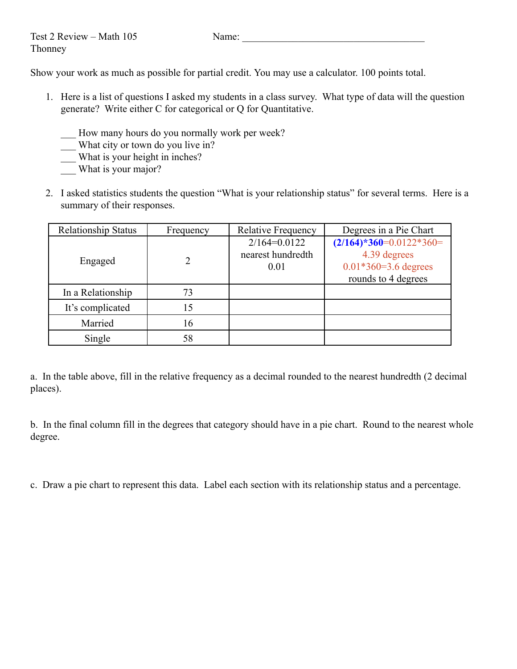Show your work as much as possible for partial credit. You may use a calculator. 100 points total.

- 1. Here is a list of questions I asked my students in a class survey. What type of data will the question generate? Write either C for categorical or Q for Quantitative.
	- How many hours do you normally work per week?
	- \_\_\_ What city or town do you live in?
	- $\frac{1}{\sqrt{2}}$  What is your height in inches?
	- \_\_\_ What is your major?
- 2. I asked statistics students the question "What is your relationship status" for several terms. Here is a summary of their responses.

| <b>Relationship Status</b> | Frequency | <b>Relative Frequency</b> | Degrees in a Pie Chart        |
|----------------------------|-----------|---------------------------|-------------------------------|
|                            |           | $2/164=0.0122$            | $(2/164)$ * 360=0.0122 * 360= |
|                            |           | nearest hundredth         | 4.39 degrees                  |
| Engaged                    |           | 0.01                      | $0.01*360=3.6$ degrees        |
|                            |           |                           | rounds to 4 degrees           |
| In a Relationship          | 73        |                           |                               |
| It's complicated           | 15        |                           |                               |
| Married                    | 16        |                           |                               |
| Single                     | 58        |                           |                               |

a. In the table above, fill in the relative frequency as a decimal rounded to the nearest hundredth (2 decimal places).

b. In the final column fill in the degrees that category should have in a pie chart. Round to the nearest whole degree.

c. Draw a pie chart to represent this data. Label each section with its relationship status and a percentage.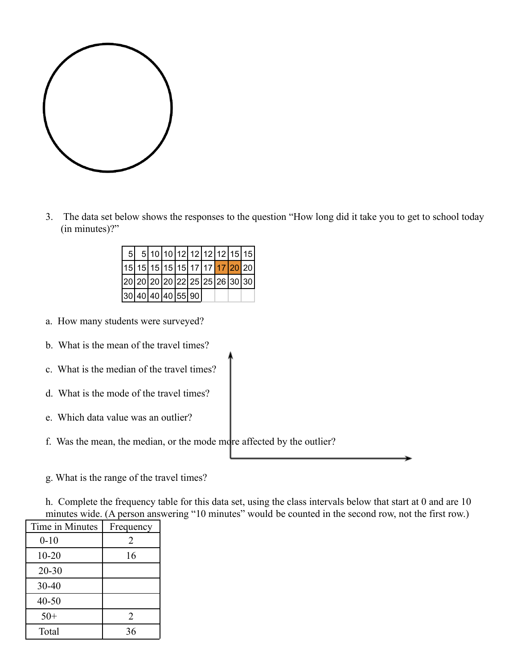

3. The data set below shows the responses to the question "How long did it take you to get to school today (in minutes)?"

| 5 |  | 5 10 10 12 12 12 12 15 15                         |  |  |  |
|---|--|---------------------------------------------------|--|--|--|
|   |  | 15  15  15  15  17  17  <mark> 17  20 </mark>  20 |  |  |  |
|   |  | 20   20   20   20   22   25   25   26   30   30   |  |  |  |
|   |  | 30 40 40 40 55 90                                 |  |  |  |

- a. How many students were surveyed?
- b. What is the mean of the travel times?
- c. What is the median of the travel times?
- d. What is the mode of the travel times?
- e. Which data value was an outlier?
- f. Was the mean, the median, or the mode more affected by the outlier?
- g. What is the range of the travel times?

h. Complete the frequency table for this data set, using the class intervals below that start at 0 and are 10 minutes wide. (A person answering "10 minutes" would be counted in the second row, not the first row.)

| Time in Minutes | Frequency                     |
|-----------------|-------------------------------|
| $0 - 10$        | $\mathfrak{D}_{\mathfrak{p}}$ |
| $10 - 20$       | 16                            |
| $20 - 30$       |                               |
| 30-40           |                               |
| $40 - 50$       |                               |
| $50+$           | 2                             |
| Total           | 36                            |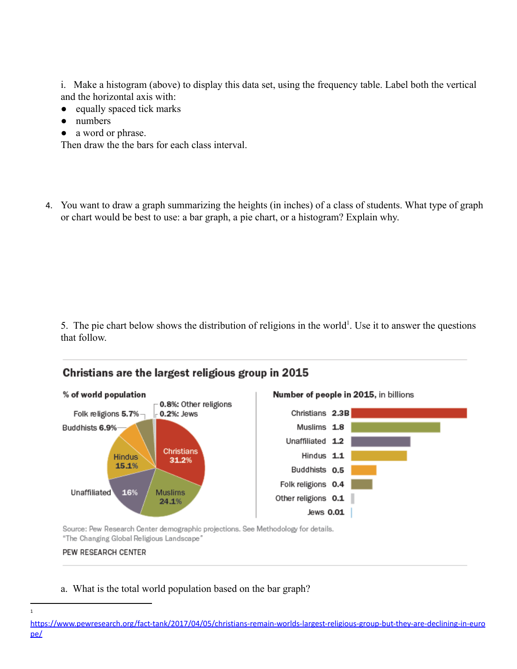i. Make a histogram (above) to display this data set, using the frequency table. Label both the vertical and the horizontal axis with:

- equally spaced tick marks
- numbers
- a word or phrase.

Then draw the the bars for each class interval.

4. You want to draw a graph summarizing the heights (in inches) of a class of students. What type of graph or chart would be best to use: a bar graph, a pie chart, or a histogram? Explain why.

5. The pie chart below shows the distribution of religions in the world<sup>1</sup>. Use it to answer the questions that follow.

## Christians are the largest religious group in 2015 % of world population Number of people in 2015, in billions 0.8%: Other religions Christians 2.3B Folk religions 5.7% 0.2%: Jews Buddhists 6.9% Muslims 1.8 Unaffiliated 1.2 Christians Hindus  $1.1$ **Hindus** 31.2% 15.1%



Source: Pew Research Center demographic projections. See Methodology for details. "The Changing Global Religious Landscape"

## PEW RESEARCH CENTER

16%

Unaffiliated

1

## a. What is the total world population based on the bar graph?

[https://www.pewresearch.org/fact-tank/2017/04/05/christians-remain-worlds-largest-religious-group-but-they-are-declining-in-euro](https://www.pewresearch.org/fact-tank/2017/04/05/christians-remain-worlds-largest-religious-group-but-they-are-declining-in-europe/) [pe/](https://www.pewresearch.org/fact-tank/2017/04/05/christians-remain-worlds-largest-religious-group-but-they-are-declining-in-europe/)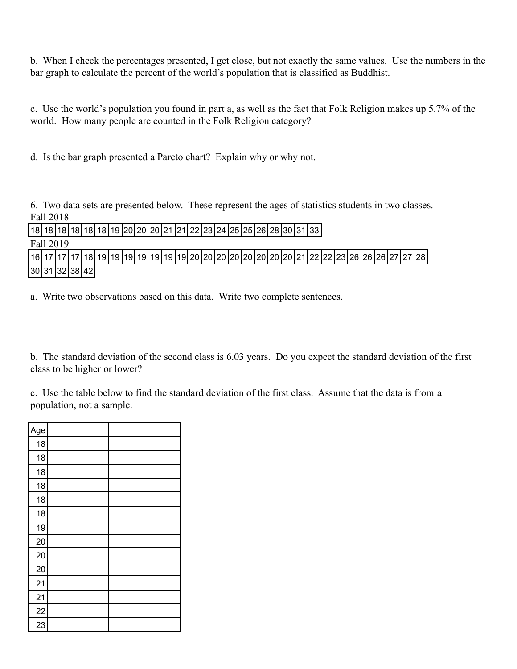b. When I check the percentages presented, I get close, but not exactly the same values. Use the numbers in the bar graph to calculate the percent of the world's population that is classified as Buddhist.

c. Use the world's population you found in part a, as well as the fact that Folk Religion makes up 5.7% of the world. How many people are counted in the Folk Religion category?

d. Is the bar graph presented a Pareto chart? Explain why or why not.

6. Two data sets are presented below. These represent the ages of statistics students in two classes. Fall 2018

| 18 18 18 18 18 18 19 20 20 20 21 21 22 23 24 25 25 26 28 30 31 33 |  |  |  |  |  |  |  |  |  |  |  |  |  |  |                                                                                              |
|-------------------------------------------------------------------|--|--|--|--|--|--|--|--|--|--|--|--|--|--|----------------------------------------------------------------------------------------------|
| Fall 2019                                                         |  |  |  |  |  |  |  |  |  |  |  |  |  |  |                                                                                              |
|                                                                   |  |  |  |  |  |  |  |  |  |  |  |  |  |  | 16 17 17 17 18 19 19 19 19 19 19 19 19 20 20 20 20 20 20 20 20 21 22 22 23 26 26 26 27 27 28 |
| 30   31   32   38   42                                            |  |  |  |  |  |  |  |  |  |  |  |  |  |  |                                                                                              |

a. Write two observations based on this data. Write two complete sentences.

b. The standard deviation of the second class is 6.03 years. Do you expect the standard deviation of the first class to be higher or lower?

c. Use the table below to find the standard deviation of the first class. Assume that the data is from a population, not a sample.

| Age |  |
|-----|--|
| 18  |  |
| 18  |  |
| 18  |  |
| 18  |  |
| 18  |  |
| 18  |  |
| 19  |  |
| 20  |  |
| 20  |  |
| 20  |  |
| 21  |  |
| 21  |  |
| 22  |  |
| 23  |  |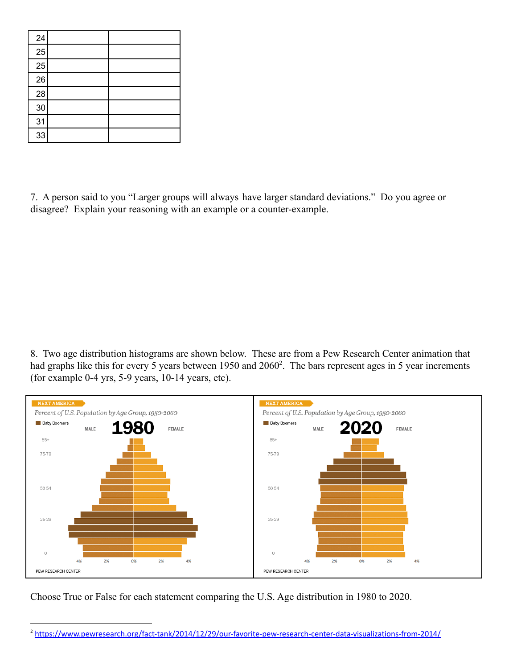| 24             |  |
|----------------|--|
| 25             |  |
| 25             |  |
| 26             |  |
| 28             |  |
| 30             |  |
| 31             |  |
| $\frac{1}{33}$ |  |

7. A person said to you "Larger groups will always have larger standard deviations." Do you agree or disagree? Explain your reasoning with an example or a counter-example.

8. Two age distribution histograms are shown below. These are from a Pew Research Center animation that had graphs like this for every 5 years between 1950 and 2060<sup>2</sup>. The bars represent ages in 5 year increments (for example 0-4 yrs, 5-9 years, 10-14 years, etc).



Choose True or False for each statement comparing the U.S. Age distribution in 1980 to 2020.

<sup>2</sup> <https://www.pewresearch.org/fact-tank/2014/12/29/our-favorite-pew-research-center-data-visualizations-from-2014/>